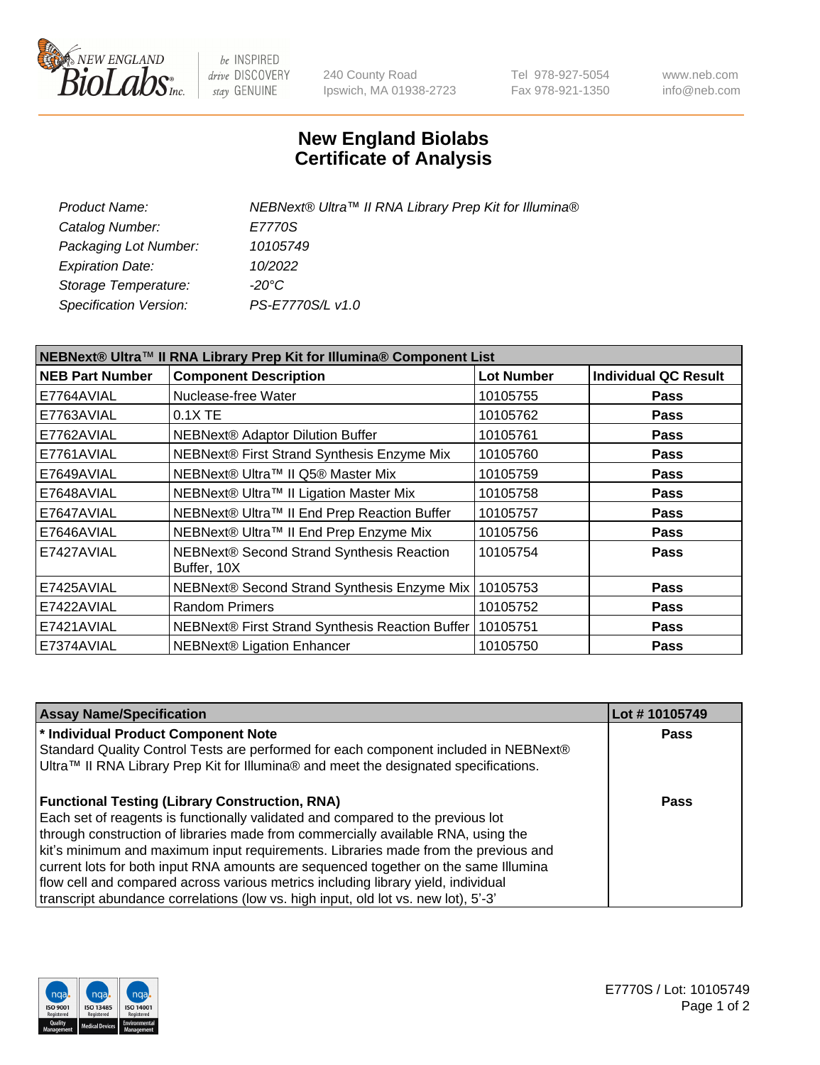

be INSPIRED drive DISCOVERY stay GENUINE

240 County Road Ipswich, MA 01938-2723 Tel 978-927-5054 Fax 978-921-1350 www.neb.com info@neb.com

## **New England Biolabs Certificate of Analysis**

| NEBNext® Ultra™ II RNA Library Prep Kit for Illumina® |
|-------------------------------------------------------|
| E7770S                                                |
| 10105749                                              |
| 10/2022                                               |
| -20°C                                                 |
| PS-E7770S/L v1.0                                      |
|                                                       |

| NEBNext® Ultra™ II RNA Library Prep Kit for Illumina® Component List |                                                            |                   |                             |  |
|----------------------------------------------------------------------|------------------------------------------------------------|-------------------|-----------------------------|--|
| <b>NEB Part Number</b>                                               | <b>Component Description</b>                               | <b>Lot Number</b> | <b>Individual QC Result</b> |  |
| E7764AVIAL                                                           | Nuclease-free Water                                        | 10105755          | <b>Pass</b>                 |  |
| E7763AVIAL                                                           | $0.1X$ TE                                                  | 10105762          | <b>Pass</b>                 |  |
| E7762AVIAL                                                           | <b>NEBNext® Adaptor Dilution Buffer</b>                    | 10105761          | <b>Pass</b>                 |  |
| E7761AVIAL                                                           | NEBNext® First Strand Synthesis Enzyme Mix                 | 10105760          | <b>Pass</b>                 |  |
| E7649AVIAL                                                           | NEBNext® Ultra™ II Q5® Master Mix                          | 10105759          | <b>Pass</b>                 |  |
| E7648AVIAL                                                           | NEBNext® Ultra™ II Ligation Master Mix                     | 10105758          | <b>Pass</b>                 |  |
| E7647AVIAL                                                           | NEBNext® Ultra™ II End Prep Reaction Buffer                | 10105757          | <b>Pass</b>                 |  |
| E7646AVIAL                                                           | NEBNext® Ultra™ II End Prep Enzyme Mix                     | 10105756          | <b>Pass</b>                 |  |
| E7427AVIAL                                                           | NEBNext® Second Strand Synthesis Reaction<br>Buffer, 10X   | 10105754          | <b>Pass</b>                 |  |
| E7425AVIAL                                                           | NEBNext® Second Strand Synthesis Enzyme Mix                | 10105753          | Pass                        |  |
| E7422AVIAL                                                           | <b>Random Primers</b>                                      | 10105752          | <b>Pass</b>                 |  |
| E7421AVIAL                                                           | NEBNext® First Strand Synthesis Reaction Buffer   10105751 |                   | <b>Pass</b>                 |  |
| E7374AVIAL                                                           | <b>NEBNext® Ligation Enhancer</b>                          | 10105750          | <b>Pass</b>                 |  |

| <b>Assay Name/Specification</b>                                                                                                                                                                                                                                                                                                                                                                                                                                                                                                                                                       | Lot #10105749 |
|---------------------------------------------------------------------------------------------------------------------------------------------------------------------------------------------------------------------------------------------------------------------------------------------------------------------------------------------------------------------------------------------------------------------------------------------------------------------------------------------------------------------------------------------------------------------------------------|---------------|
| * Individual Product Component Note<br>Standard Quality Control Tests are performed for each component included in NEBNext®<br>Ultra™ II RNA Library Prep Kit for Illumina® and meet the designated specifications.                                                                                                                                                                                                                                                                                                                                                                   | <b>Pass</b>   |
| <b>Functional Testing (Library Construction, RNA)</b><br>Each set of reagents is functionally validated and compared to the previous lot<br>through construction of libraries made from commercially available RNA, using the<br>kit's minimum and maximum input requirements. Libraries made from the previous and<br>current lots for both input RNA amounts are sequenced together on the same Illumina<br>flow cell and compared across various metrics including library yield, individual<br>transcript abundance correlations (low vs. high input, old lot vs. new lot), 5'-3' | Pass          |